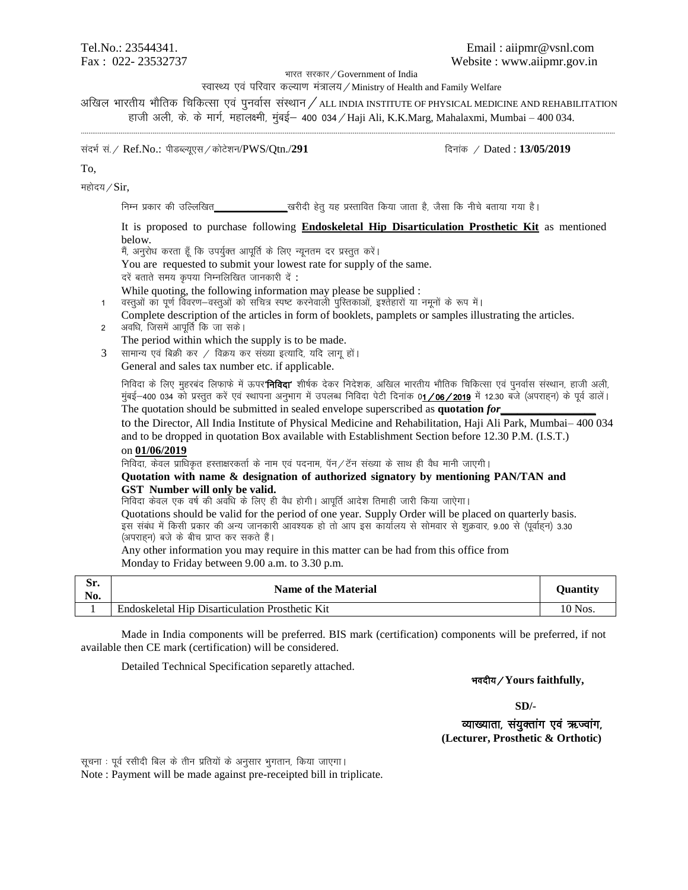Tel.No.: 23544341. Email : aiipmr@vsnl.com Fax : 022- 23532737 Website : www.aiipmr.gov.in

भारत सरकार / Government of India

रवास्थ्य एवं परिवार कल्याण मंत्रालय / Ministry of Health and Family Welfare

अखिल भारतीय भौतिक चिकित्सा एवं पुनर्वास संस्थान / ALL INDIA INSTITUTE OF PHYSICAL MEDICINE AND REHABILITATION हाजी अली, के. के मार्ग, महालक्ष्मी, मुंबई– 400 034 / Haji Ali, K.K.Marg, Mahalaxmi, Mumbai – 400 034. -------------------------------------------------------------------------------------------------------------------------------------------------------------------------------------------------------------------------------------------------------------------------------------------

संदर्भ सं. / Ref.No.: पीडब्ल्यूएस / कोटेशन/PWS/Qtn./291 **for a distribution of Partical and Struck** to Dated : **13/05/2019** 

To,

महोदय $/S$ ir,

निम्न प्रकार की उल्लिखित खरीदी हेतु यह प्रस्तावित किया जाता है, जैसा कि नीचे बताया गया है।

It is proposed to purchase following **Endoskeletal Hip Disarticulation Prosthetic Kit** as mentioned below.

मैं, अनुरोध करता हूँ कि उपर्युक्त आपूर्ति के लिए न्यूनतम दर प्रस्तुत करें।

You are requested to submit your lowest rate for supply of the same.

दरें बताते समय कृपया निम्नलिखित जानकारी दें:

While quoting, the following information may please be supplied :

1 - वस्तुओं का पूर्ण विवरण–वस्तुओं को सचित्र स्पष्ट करनेवाली पुस्तिकाओं, इश्तेहारों या नमूनों के रूप में।

Complete description of the articles in form of booklets, pamplets or samples illustrating the articles.

- 2 अवधि, जिसमें आपूर्ति कि जा सके।
	- The period within which the supply is to be made.
- $3$  सामान्य एवं बिक्री कर / विक्रय कर संख्या इत्यादि, यदि लाग हों।
	- General and sales tax number etc. if applicable.

निविदा के लिए मुहरबंद लिफाफे में ऊपर**'निविदा'** शीर्षक देकर निदेशक, अखिल भारतीय भौतिक चिकित्सा एवं पुनर्वास संस्थान, हाजी अली, .<br>मुंबई–400 034 को प्रस्तुत करें एवं स्थापना अनुभाग में उपलब्ध निविदा पेटी दिनांक 0**1/06/2019** में 12.30 बजे (अपराहन) के पूर्व डालें। The quotation should be submitted in sealed envelope superscribed as **quotation** *for* 

to the Director, All India Institute of Physical Medicine and Rehabilitation, Haji Ali Park, Mumbai– 400 034 and to be dropped in quotation Box available with Establishment Section before 12.30 P.M. (I.S.T.)

## on 01/06/2019

निविदा, केवल प्राधिकृत हस्ताक्षरकर्ता के नाम एवं पदनाम, पॅन/टॅन संख्या के साथ ही वैध मानी जाएगी।

## **Quotation with name & designation of authorized signatory by mentioning PAN/TAN and GST Number will only be valid.**

निविदा केवल एक वर्ष की अवधि के लिए ही वैध होगी। आपूर्ति आदेश तिमाही जारी किया जाऐगा।

Quotations should be valid for the period of one year. Supply Order will be placed on quarterly basis. इस संबंध में किसी प्रकार की अन्य जानकारी आवश्यक हो तो आप इस कार्यालय से सोमवार से शुक्रवार, 9.00 से (पूर्वाइन) 3.30 (अपराहन) बजे के बीच प्राप्त कर सकते हैं।

Any other information you may require in this matter can be had from this office from Monday to Friday between 9.00 a.m. to 3.30 p.m.

| Sr.<br>No. | <b>Name of the Material</b>                     | Ouantitv  |
|------------|-------------------------------------------------|-----------|
|            | Endoskeletal Hip Disarticulation Prosthetic Kit | $10$ Nos. |

Made in India components will be preferred. BIS mark (certification) components will be preferred, if not available then CE mark (certification) will be considered.

Detailed Technical Specification separetly attached.

## भवदीय/Yours faithfully,

**SD/-**

व्याख्याता, संयुक्तांग एवं ऋज्वांग, **(Lecturer, Prosthetic & Orthotic)**

सूचना : पूर्व रसीदी बिल के तीन प्रतियों के अनुसार भुगतान, किया जाएगा।

Note : Payment will be made against pre-receipted bill in triplicate.